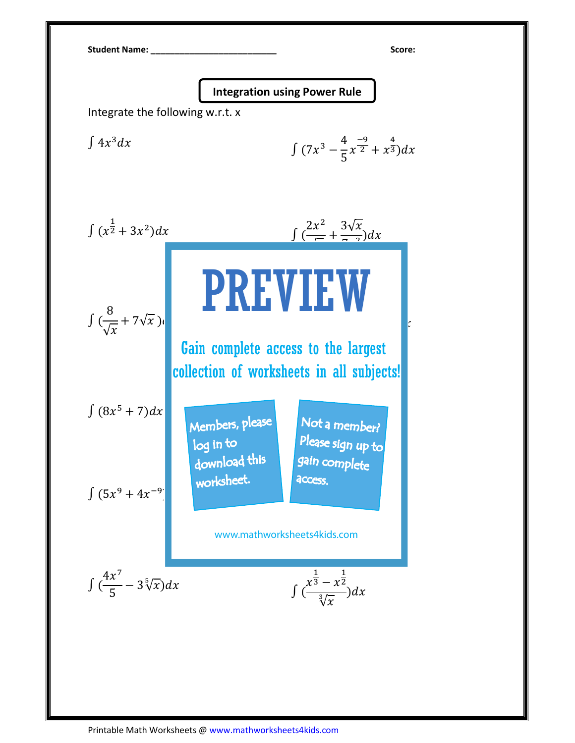